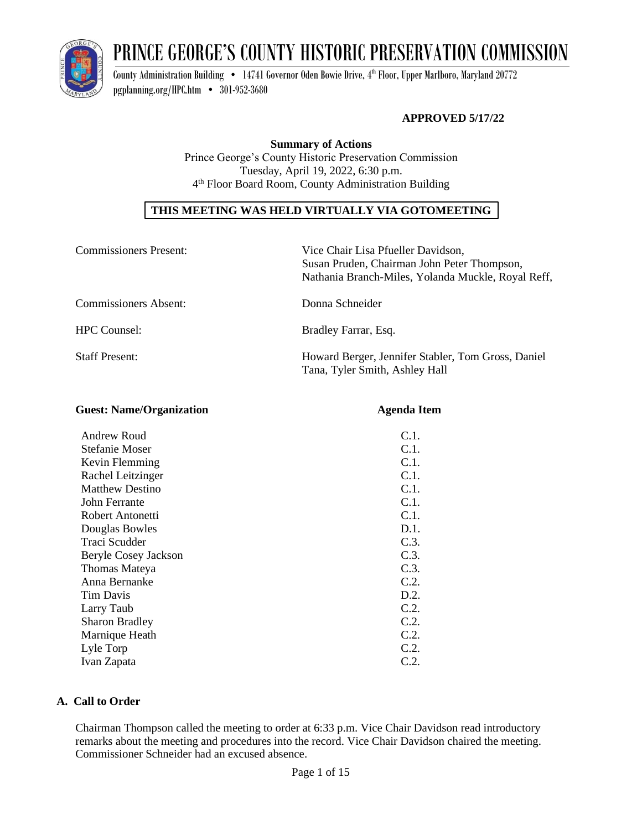

# PRINCE GEORGE'S COUNTY HISTORIC PRESERVATION COMMISSION

County Administration Building  $\bullet$   $\,$  14741 Governor Oden Bowie Drive, 4th Floor, Upper Marlboro, Maryland 20772 [pgplanning.org/HPC.htm](http://www.pgplanning.org/HPC.htm) • 301-952-3680

# **APPROVED 5/17/22**

**Summary of Actions** Prince George's County Historic Preservation Commission Tuesday, April 19, 2022, 6:30 p.m. 4 th Floor Board Room, County Administration Building

# **THIS MEETING WAS HELD VIRTUALLY VIA GOTOMEETING**

| <b>Commissioners Present:</b> | Vice Chair Lisa Pfueller Davidson,<br>Susan Pruden, Chairman John Peter Thompson,<br>Nathania Branch-Miles, Yolanda Muckle, Royal Reff, |
|-------------------------------|-----------------------------------------------------------------------------------------------------------------------------------------|
| <b>Commissioners Absent:</b>  | Donna Schneider                                                                                                                         |
| <b>HPC</b> Counsel:           | Bradley Farrar, Esq.                                                                                                                    |
| <b>Staff Present:</b>         | Howard Berger, Jennifer Stabler, Tom Gross, Daniel<br>Tana, Tyler Smith, Ashley Hall                                                    |

| <b>Guest: Name/Organization</b> | <b>Agenda Item</b> |
|---------------------------------|--------------------|
| Andrew Roud                     | C.1.               |
| <b>Stefanie Moser</b>           | C.1.               |
| Kevin Flemming                  | C.1.               |
| Rachel Leitzinger               | C.1.               |
| <b>Matthew Destino</b>          | C.1.               |
| John Ferrante                   | C.1.               |
| Robert Antonetti                | C.1.               |
| Douglas Bowles                  | D.1.               |
| Traci Scudder                   | C.3.               |
| Beryle Cosey Jackson            | C.3.               |
| Thomas Mateya                   | C.3.               |
| Anna Bernanke                   | C.2.               |
| Tim Davis                       | D.2.               |
| Larry Taub                      | C.2.               |
| <b>Sharon Bradley</b>           | C.2.               |
| Marnique Heath                  | C.2.               |
| Lyle Torp                       | C.2.               |
| Ivan Zapata                     | C.2.               |

# **A. Call to Order**

Chairman Thompson called the meeting to order at 6:33 p.m. Vice Chair Davidson read introductory remarks about the meeting and procedures into the record. Vice Chair Davidson chaired the meeting. Commissioner Schneider had an excused absence.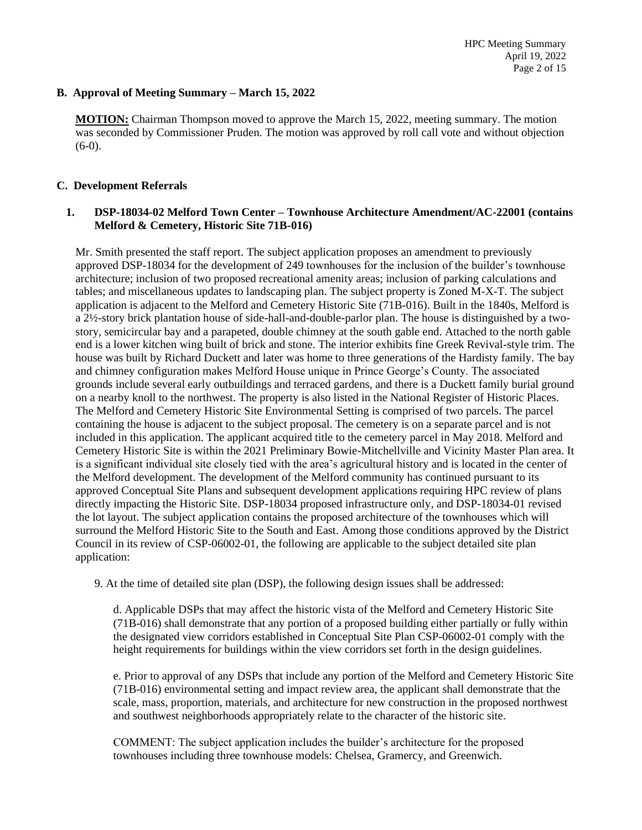# **B. Approval of Meeting Summary – March 15, 2022**

**MOTION:** Chairman Thompson moved to approve the March 15, 2022, meeting summary. The motion was seconded by Commissioner Pruden. The motion was approved by roll call vote and without objection  $(6-0)$ .

# **C. Development Referrals**

# **1. DSP-18034-02 Melford Town Center – Townhouse Architecture Amendment/AC-22001 (contains Melford & Cemetery, Historic Site 71B-016)**

Mr. Smith presented the staff report. The subject application proposes an amendment to previously approved DSP-18034 for the development of 249 townhouses for the inclusion of the builder's townhouse architecture; inclusion of two proposed recreational amenity areas; inclusion of parking calculations and tables; and miscellaneous updates to landscaping plan. The subject property is Zoned M-X-T. The subject application is adjacent to the Melford and Cemetery Historic Site (71B-016). Built in the 1840s, Melford is a 2½-story brick plantation house of side-hall-and-double-parlor plan. The house is distinguished by a twostory, semicircular bay and a parapeted, double chimney at the south gable end. Attached to the north gable end is a lower kitchen wing built of brick and stone. The interior exhibits fine Greek Revival-style trim. The house was built by Richard Duckett and later was home to three generations of the Hardisty family. The bay and chimney configuration makes Melford House unique in Prince George's County. The associated grounds include several early outbuildings and terraced gardens, and there is a Duckett family burial ground on a nearby knoll to the northwest. The property is also listed in the National Register of Historic Places. The Melford and Cemetery Historic Site Environmental Setting is comprised of two parcels. The parcel containing the house is adjacent to the subject proposal. The cemetery is on a separate parcel and is not included in this application. The applicant acquired title to the cemetery parcel in May 2018. Melford and Cemetery Historic Site is within the 2021 Preliminary Bowie-Mitchellville and Vicinity Master Plan area. It is a significant individual site closely tied with the area's agricultural history and is located in the center of the Melford development. The development of the Melford community has continued pursuant to its approved Conceptual Site Plans and subsequent development applications requiring HPC review of plans directly impacting the Historic Site. DSP-18034 proposed infrastructure only, and DSP-18034-01 revised the lot layout. The subject application contains the proposed architecture of the townhouses which will surround the Melford Historic Site to the South and East. Among those conditions approved by the District Council in its review of CSP-06002-01, the following are applicable to the subject detailed site plan application:

9. At the time of detailed site plan (DSP), the following design issues shall be addressed:

d. Applicable DSPs that may affect the historic vista of the Melford and Cemetery Historic Site (71B-016) shall demonstrate that any portion of a proposed building either partially or fully within the designated view corridors established in Conceptual Site Plan CSP-06002-01 comply with the height requirements for buildings within the view corridors set forth in the design guidelines.

e. Prior to approval of any DSPs that include any portion of the Melford and Cemetery Historic Site (71B-016) environmental setting and impact review area, the applicant shall demonstrate that the scale, mass, proportion, materials, and architecture for new construction in the proposed northwest and southwest neighborhoods appropriately relate to the character of the historic site.

COMMENT: The subject application includes the builder's architecture for the proposed townhouses including three townhouse models: Chelsea, Gramercy, and Greenwich.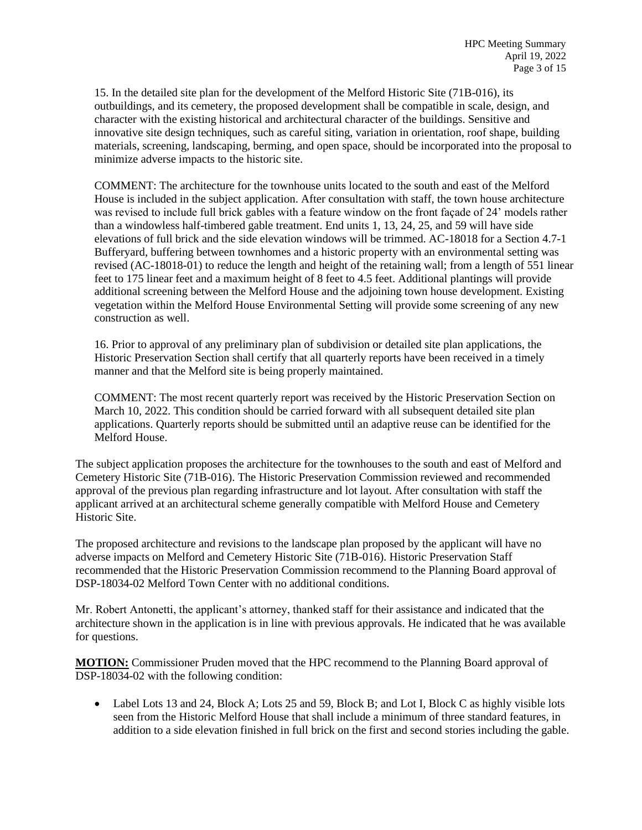15. In the detailed site plan for the development of the Melford Historic Site (71B-016), its outbuildings, and its cemetery, the proposed development shall be compatible in scale, design, and character with the existing historical and architectural character of the buildings. Sensitive and innovative site design techniques, such as careful siting, variation in orientation, roof shape, building materials, screening, landscaping, berming, and open space, should be incorporated into the proposal to minimize adverse impacts to the historic site.

COMMENT: The architecture for the townhouse units located to the south and east of the Melford House is included in the subject application. After consultation with staff, the town house architecture was revised to include full brick gables with a feature window on the front façade of 24' models rather than a windowless half-timbered gable treatment. End units 1, 13, 24, 25, and 59 will have side elevations of full brick and the side elevation windows will be trimmed. AC-18018 for a Section 4.7-1 Bufferyard, buffering between townhomes and a historic property with an environmental setting was revised (AC-18018-01) to reduce the length and height of the retaining wall; from a length of 551 linear feet to 175 linear feet and a maximum height of 8 feet to 4.5 feet. Additional plantings will provide additional screening between the Melford House and the adjoining town house development. Existing vegetation within the Melford House Environmental Setting will provide some screening of any new construction as well.

16. Prior to approval of any preliminary plan of subdivision or detailed site plan applications, the Historic Preservation Section shall certify that all quarterly reports have been received in a timely manner and that the Melford site is being properly maintained.

COMMENT: The most recent quarterly report was received by the Historic Preservation Section on March 10, 2022. This condition should be carried forward with all subsequent detailed site plan applications. Quarterly reports should be submitted until an adaptive reuse can be identified for the Melford House.

The subject application proposes the architecture for the townhouses to the south and east of Melford and Cemetery Historic Site (71B-016). The Historic Preservation Commission reviewed and recommended approval of the previous plan regarding infrastructure and lot layout. After consultation with staff the applicant arrived at an architectural scheme generally compatible with Melford House and Cemetery Historic Site.

The proposed architecture and revisions to the landscape plan proposed by the applicant will have no adverse impacts on Melford and Cemetery Historic Site (71B-016). Historic Preservation Staff recommended that the Historic Preservation Commission recommend to the Planning Board approval of DSP-18034-02 Melford Town Center with no additional conditions.

Mr. Robert Antonetti, the applicant's attorney, thanked staff for their assistance and indicated that the architecture shown in the application is in line with previous approvals. He indicated that he was available for questions.

**MOTION:** Commissioner Pruden moved that the HPC recommend to the Planning Board approval of DSP-18034-02 with the following condition:

• Label Lots 13 and 24, Block A; Lots 25 and 59, Block B; and Lot I, Block C as highly visible lots seen from the Historic Melford House that shall include a minimum of three standard features, in addition to a side elevation finished in full brick on the first and second stories including the gable.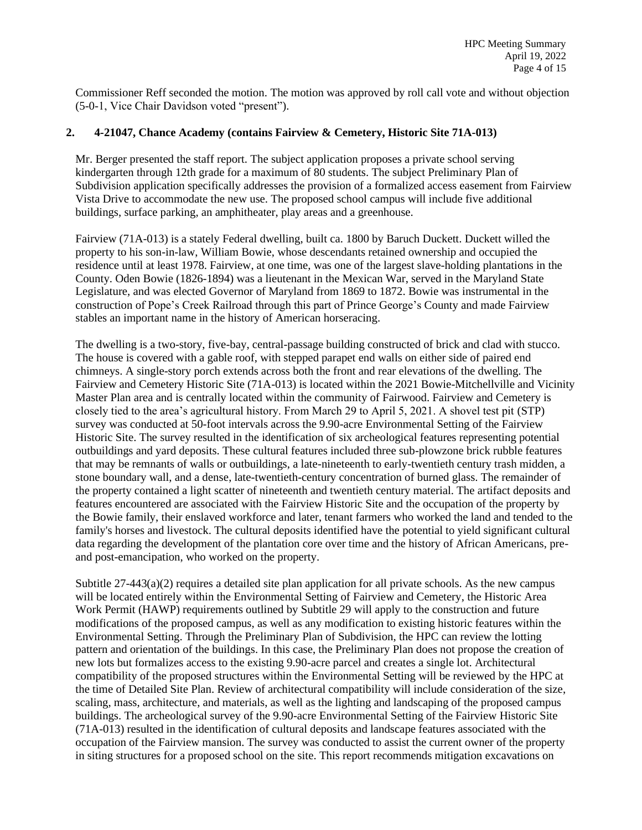Commissioner Reff seconded the motion. The motion was approved by roll call vote and without objection (5-0-1, Vice Chair Davidson voted "present").

# **2. 4-21047, Chance Academy (contains Fairview & Cemetery, Historic Site 71A-013)**

Mr. Berger presented the staff report. The subject application proposes a private school serving kindergarten through 12th grade for a maximum of 80 students. The subject Preliminary Plan of Subdivision application specifically addresses the provision of a formalized access easement from Fairview Vista Drive to accommodate the new use. The proposed school campus will include five additional buildings, surface parking, an amphitheater, play areas and a greenhouse.

Fairview (71A-013) is a stately Federal dwelling, built ca. 1800 by Baruch Duckett. Duckett willed the property to his son-in-law, William Bowie, whose descendants retained ownership and occupied the residence until at least 1978. Fairview, at one time, was one of the largest slave-holding plantations in the County. Oden Bowie (1826-1894) was a lieutenant in the Mexican War, served in the Maryland State Legislature, and was elected Governor of Maryland from 1869 to 1872. Bowie was instrumental in the construction of Pope's Creek Railroad through this part of Prince George's County and made Fairview stables an important name in the history of American horseracing.

The dwelling is a two-story, five-bay, central-passage building constructed of brick and clad with stucco. The house is covered with a gable roof, with stepped parapet end walls on either side of paired end chimneys. A single-story porch extends across both the front and rear elevations of the dwelling. The Fairview and Cemetery Historic Site (71A-013) is located within the 2021 Bowie-Mitchellville and Vicinity Master Plan area and is centrally located within the community of Fairwood. Fairview and Cemetery is closely tied to the area's agricultural history. From March 29 to April 5, 2021. A shovel test pit (STP) survey was conducted at 50-foot intervals across the 9.90-acre Environmental Setting of the Fairview Historic Site. The survey resulted in the identification of six archeological features representing potential outbuildings and yard deposits. These cultural features included three sub-plowzone brick rubble features that may be remnants of walls or outbuildings, a late-nineteenth to early-twentieth century trash midden, a stone boundary wall, and a dense, late-twentieth-century concentration of burned glass. The remainder of the property contained a light scatter of nineteenth and twentieth century material. The artifact deposits and features encountered are associated with the Fairview Historic Site and the occupation of the property by the Bowie family, their enslaved workforce and later, tenant farmers who worked the land and tended to the family's horses and livestock. The cultural deposits identified have the potential to yield significant cultural data regarding the development of the plantation core over time and the history of African Americans, preand post-emancipation, who worked on the property.

Subtitle 27-443(a)(2) requires a detailed site plan application for all private schools. As the new campus will be located entirely within the Environmental Setting of Fairview and Cemetery, the Historic Area Work Permit (HAWP) requirements outlined by Subtitle 29 will apply to the construction and future modifications of the proposed campus, as well as any modification to existing historic features within the Environmental Setting. Through the Preliminary Plan of Subdivision, the HPC can review the lotting pattern and orientation of the buildings. In this case, the Preliminary Plan does not propose the creation of new lots but formalizes access to the existing 9.90-acre parcel and creates a single lot. Architectural compatibility of the proposed structures within the Environmental Setting will be reviewed by the HPC at the time of Detailed Site Plan. Review of architectural compatibility will include consideration of the size, scaling, mass, architecture, and materials, as well as the lighting and landscaping of the proposed campus buildings. The archeological survey of the 9.90-acre Environmental Setting of the Fairview Historic Site (71A-013) resulted in the identification of cultural deposits and landscape features associated with the occupation of the Fairview mansion. The survey was conducted to assist the current owner of the property in siting structures for a proposed school on the site. This report recommends mitigation excavations on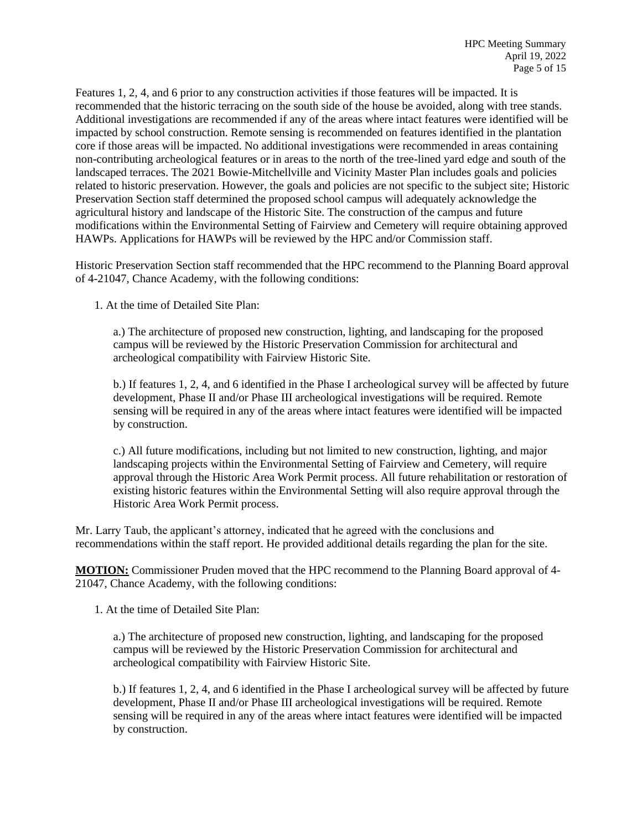Features 1, 2, 4, and 6 prior to any construction activities if those features will be impacted. It is recommended that the historic terracing on the south side of the house be avoided, along with tree stands. Additional investigations are recommended if any of the areas where intact features were identified will be impacted by school construction. Remote sensing is recommended on features identified in the plantation core if those areas will be impacted. No additional investigations were recommended in areas containing non-contributing archeological features or in areas to the north of the tree-lined yard edge and south of the landscaped terraces. The 2021 Bowie-Mitchellville and Vicinity Master Plan includes goals and policies related to historic preservation. However, the goals and policies are not specific to the subject site; Historic Preservation Section staff determined the proposed school campus will adequately acknowledge the agricultural history and landscape of the Historic Site. The construction of the campus and future modifications within the Environmental Setting of Fairview and Cemetery will require obtaining approved HAWPs. Applications for HAWPs will be reviewed by the HPC and/or Commission staff.

Historic Preservation Section staff recommended that the HPC recommend to the Planning Board approval of 4-21047, Chance Academy, with the following conditions:

1. At the time of Detailed Site Plan:

a.) The architecture of proposed new construction, lighting, and landscaping for the proposed campus will be reviewed by the Historic Preservation Commission for architectural and archeological compatibility with Fairview Historic Site.

b.) If features 1, 2, 4, and 6 identified in the Phase I archeological survey will be affected by future development, Phase II and/or Phase III archeological investigations will be required. Remote sensing will be required in any of the areas where intact features were identified will be impacted by construction.

c.) All future modifications, including but not limited to new construction, lighting, and major landscaping projects within the Environmental Setting of Fairview and Cemetery, will require approval through the Historic Area Work Permit process. All future rehabilitation or restoration of existing historic features within the Environmental Setting will also require approval through the Historic Area Work Permit process.

Mr. Larry Taub, the applicant's attorney, indicated that he agreed with the conclusions and recommendations within the staff report. He provided additional details regarding the plan for the site.

**MOTION:** Commissioner Pruden moved that the HPC recommend to the Planning Board approval of 4- 21047, Chance Academy, with the following conditions:

1. At the time of Detailed Site Plan:

a.) The architecture of proposed new construction, lighting, and landscaping for the proposed campus will be reviewed by the Historic Preservation Commission for architectural and archeological compatibility with Fairview Historic Site.

b.) If features 1, 2, 4, and 6 identified in the Phase I archeological survey will be affected by future development, Phase II and/or Phase III archeological investigations will be required. Remote sensing will be required in any of the areas where intact features were identified will be impacted by construction.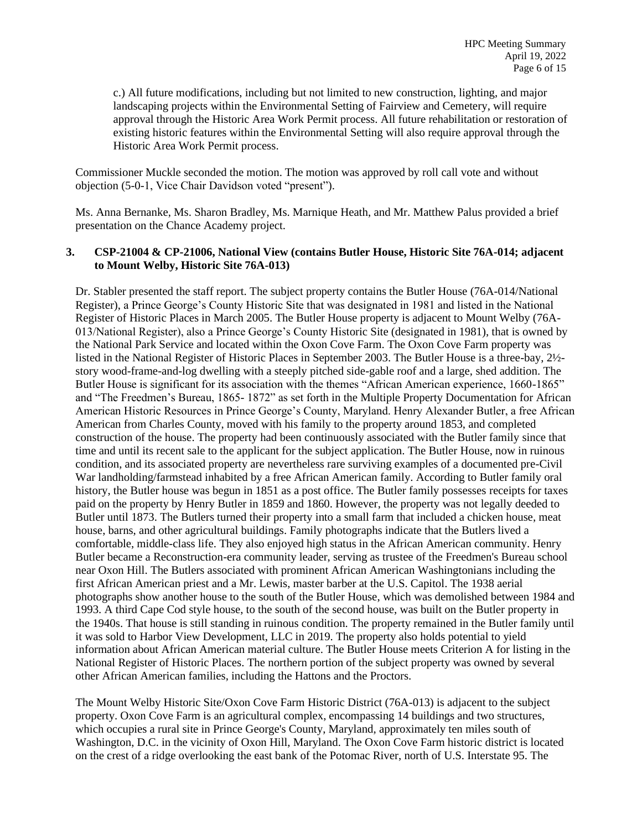c.) All future modifications, including but not limited to new construction, lighting, and major landscaping projects within the Environmental Setting of Fairview and Cemetery, will require approval through the Historic Area Work Permit process. All future rehabilitation or restoration of existing historic features within the Environmental Setting will also require approval through the Historic Area Work Permit process.

Commissioner Muckle seconded the motion. The motion was approved by roll call vote and without objection (5-0-1, Vice Chair Davidson voted "present").

Ms. Anna Bernanke, Ms. Sharon Bradley, Ms. Marnique Heath, and Mr. Matthew Palus provided a brief presentation on the Chance Academy project.

# **3. CSP-21004 & CP-21006, National View (contains Butler House, Historic Site 76A-014; adjacent to Mount Welby, Historic Site 76A-013)**

Dr. Stabler presented the staff report. The subject property contains the Butler House (76A-014/National Register), a Prince George's County Historic Site that was designated in 1981 and listed in the National Register of Historic Places in March 2005. The Butler House property is adjacent to Mount Welby (76A-013/National Register), also a Prince George's County Historic Site (designated in 1981), that is owned by the National Park Service and located within the Oxon Cove Farm. The Oxon Cove Farm property was listed in the National Register of Historic Places in September 2003. The Butler House is a three-bay, 2½ story wood-frame-and-log dwelling with a steeply pitched side-gable roof and a large, shed addition. The Butler House is significant for its association with the themes "African American experience, 1660-1865" and "The Freedmen's Bureau, 1865- 1872" as set forth in the Multiple Property Documentation for African American Historic Resources in Prince George's County, Maryland. Henry Alexander Butler, a free African American from Charles County, moved with his family to the property around 1853, and completed construction of the house. The property had been continuously associated with the Butler family since that time and until its recent sale to the applicant for the subject application. The Butler House, now in ruinous condition, and its associated property are nevertheless rare surviving examples of a documented pre-Civil War landholding/farmstead inhabited by a free African American family. According to Butler family oral history, the Butler house was begun in 1851 as a post office. The Butler family possesses receipts for taxes paid on the property by Henry Butler in 1859 and 1860. However, the property was not legally deeded to Butler until 1873. The Butlers turned their property into a small farm that included a chicken house, meat house, barns, and other agricultural buildings. Family photographs indicate that the Butlers lived a comfortable, middle-class life. They also enjoyed high status in the African American community. Henry Butler became a Reconstruction-era community leader, serving as trustee of the Freedmen's Bureau school near Oxon Hill. The Butlers associated with prominent African American Washingtonians including the first African American priest and a Mr. Lewis, master barber at the U.S. Capitol. The 1938 aerial photographs show another house to the south of the Butler House, which was demolished between 1984 and 1993. A third Cape Cod style house, to the south of the second house, was built on the Butler property in the 1940s. That house is still standing in ruinous condition. The property remained in the Butler family until it was sold to Harbor View Development, LLC in 2019. The property also holds potential to yield information about African American material culture. The Butler House meets Criterion A for listing in the National Register of Historic Places. The northern portion of the subject property was owned by several other African American families, including the Hattons and the Proctors.

The Mount Welby Historic Site/Oxon Cove Farm Historic District (76A-013) is adjacent to the subject property. Oxon Cove Farm is an agricultural complex, encompassing 14 buildings and two structures, which occupies a rural site in Prince George's County, Maryland, approximately ten miles south of Washington, D.C. in the vicinity of Oxon Hill, Maryland. The Oxon Cove Farm historic district is located on the crest of a ridge overlooking the east bank of the Potomac River, north of U.S. Interstate 95. The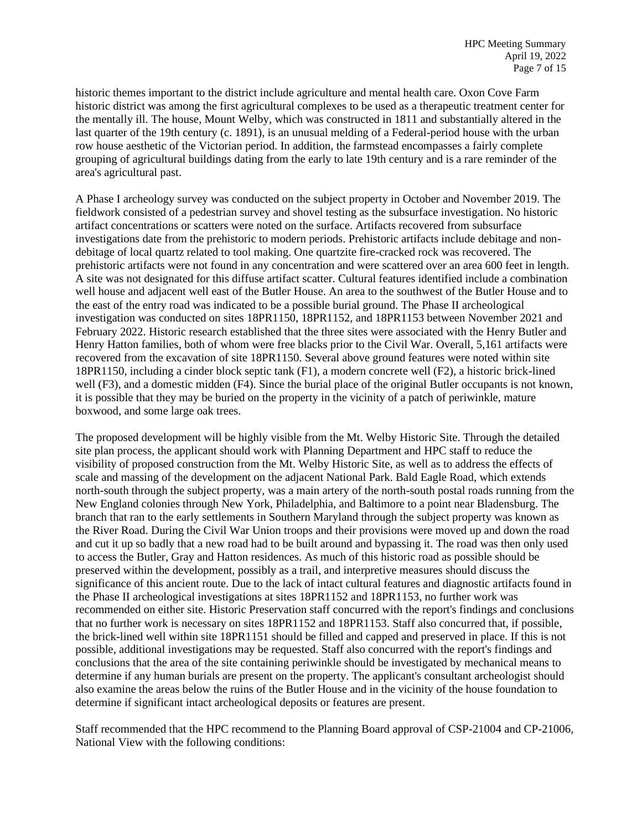historic themes important to the district include agriculture and mental health care. Oxon Cove Farm historic district was among the first agricultural complexes to be used as a therapeutic treatment center for the mentally ill. The house, Mount Welby, which was constructed in 1811 and substantially altered in the last quarter of the 19th century (c. 1891), is an unusual melding of a Federal-period house with the urban row house aesthetic of the Victorian period. In addition, the farmstead encompasses a fairly complete grouping of agricultural buildings dating from the early to late 19th century and is a rare reminder of the area's agricultural past.

A Phase I archeology survey was conducted on the subject property in October and November 2019. The fieldwork consisted of a pedestrian survey and shovel testing as the subsurface investigation. No historic artifact concentrations or scatters were noted on the surface. Artifacts recovered from subsurface investigations date from the prehistoric to modern periods. Prehistoric artifacts include debitage and nondebitage of local quartz related to tool making. One quartzite fire-cracked rock was recovered. The prehistoric artifacts were not found in any concentration and were scattered over an area 600 feet in length. A site was not designated for this diffuse artifact scatter. Cultural features identified include a combination well house and adjacent well east of the Butler House. An area to the southwest of the Butler House and to the east of the entry road was indicated to be a possible burial ground. The Phase II archeological investigation was conducted on sites 18PR1150, 18PR1152, and 18PR1153 between November 2021 and February 2022. Historic research established that the three sites were associated with the Henry Butler and Henry Hatton families, both of whom were free blacks prior to the Civil War. Overall, 5,161 artifacts were recovered from the excavation of site 18PR1150. Several above ground features were noted within site 18PR1150, including a cinder block septic tank (F1), a modern concrete well (F2), a historic brick-lined well (F3), and a domestic midden (F4). Since the burial place of the original Butler occupants is not known, it is possible that they may be buried on the property in the vicinity of a patch of periwinkle, mature boxwood, and some large oak trees.

The proposed development will be highly visible from the Mt. Welby Historic Site. Through the detailed site plan process, the applicant should work with Planning Department and HPC staff to reduce the visibility of proposed construction from the Mt. Welby Historic Site, as well as to address the effects of scale and massing of the development on the adjacent National Park. Bald Eagle Road, which extends north-south through the subject property, was a main artery of the north-south postal roads running from the New England colonies through New York, Philadelphia, and Baltimore to a point near Bladensburg. The branch that ran to the early settlements in Southern Maryland through the subject property was known as the River Road. During the Civil War Union troops and their provisions were moved up and down the road and cut it up so badly that a new road had to be built around and bypassing it. The road was then only used to access the Butler, Gray and Hatton residences. As much of this historic road as possible should be preserved within the development, possibly as a trail, and interpretive measures should discuss the significance of this ancient route. Due to the lack of intact cultural features and diagnostic artifacts found in the Phase II archeological investigations at sites 18PR1152 and 18PR1153, no further work was recommended on either site. Historic Preservation staff concurred with the report's findings and conclusions that no further work is necessary on sites 18PR1152 and 18PR1153. Staff also concurred that, if possible, the brick-lined well within site 18PR1151 should be filled and capped and preserved in place. If this is not possible, additional investigations may be requested. Staff also concurred with the report's findings and conclusions that the area of the site containing periwinkle should be investigated by mechanical means to determine if any human burials are present on the property. The applicant's consultant archeologist should also examine the areas below the ruins of the Butler House and in the vicinity of the house foundation to determine if significant intact archeological deposits or features are present.

Staff recommended that the HPC recommend to the Planning Board approval of CSP-21004 and CP-21006, National View with the following conditions: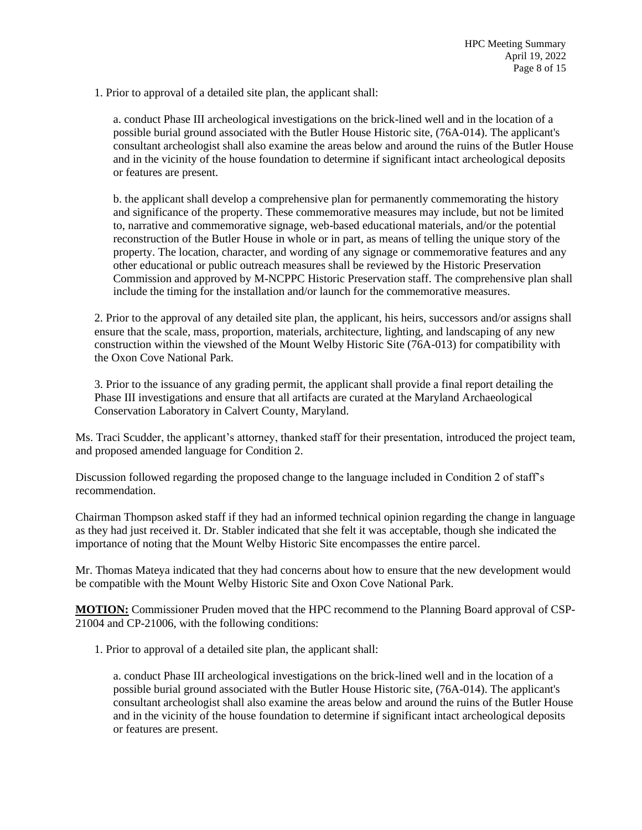1. Prior to approval of a detailed site plan, the applicant shall:

a. conduct Phase III archeological investigations on the brick-lined well and in the location of a possible burial ground associated with the Butler House Historic site, (76A-014). The applicant's consultant archeologist shall also examine the areas below and around the ruins of the Butler House and in the vicinity of the house foundation to determine if significant intact archeological deposits or features are present.

b. the applicant shall develop a comprehensive plan for permanently commemorating the history and significance of the property. These commemorative measures may include, but not be limited to, narrative and commemorative signage, web-based educational materials, and/or the potential reconstruction of the Butler House in whole or in part, as means of telling the unique story of the property. The location, character, and wording of any signage or commemorative features and any other educational or public outreach measures shall be reviewed by the Historic Preservation Commission and approved by M-NCPPC Historic Preservation staff. The comprehensive plan shall include the timing for the installation and/or launch for the commemorative measures.

2. Prior to the approval of any detailed site plan, the applicant, his heirs, successors and/or assigns shall ensure that the scale, mass, proportion, materials, architecture, lighting, and landscaping of any new construction within the viewshed of the Mount Welby Historic Site (76A-013) for compatibility with the Oxon Cove National Park.

3. Prior to the issuance of any grading permit, the applicant shall provide a final report detailing the Phase III investigations and ensure that all artifacts are curated at the Maryland Archaeological Conservation Laboratory in Calvert County, Maryland.

Ms. Traci Scudder, the applicant's attorney, thanked staff for their presentation, introduced the project team, and proposed amended language for Condition 2.

Discussion followed regarding the proposed change to the language included in Condition 2 of staff's recommendation.

Chairman Thompson asked staff if they had an informed technical opinion regarding the change in language as they had just received it. Dr. Stabler indicated that she felt it was acceptable, though she indicated the importance of noting that the Mount Welby Historic Site encompasses the entire parcel.

Mr. Thomas Mateya indicated that they had concerns about how to ensure that the new development would be compatible with the Mount Welby Historic Site and Oxon Cove National Park.

**MOTION:** Commissioner Pruden moved that the HPC recommend to the Planning Board approval of CSP-21004 and CP-21006, with the following conditions:

1. Prior to approval of a detailed site plan, the applicant shall:

a. conduct Phase III archeological investigations on the brick-lined well and in the location of a possible burial ground associated with the Butler House Historic site, (76A-014). The applicant's consultant archeologist shall also examine the areas below and around the ruins of the Butler House and in the vicinity of the house foundation to determine if significant intact archeological deposits or features are present.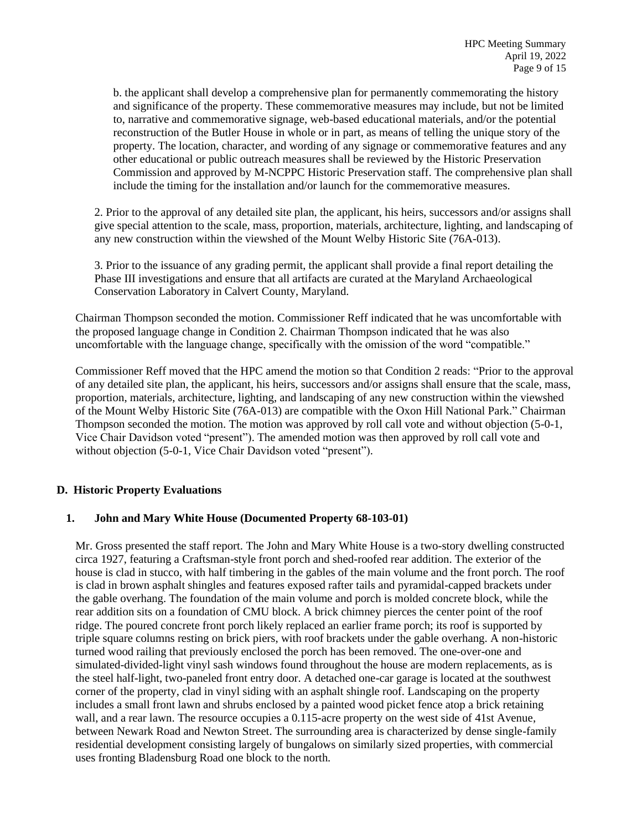b. the applicant shall develop a comprehensive plan for permanently commemorating the history and significance of the property. These commemorative measures may include, but not be limited to, narrative and commemorative signage, web-based educational materials, and/or the potential reconstruction of the Butler House in whole or in part, as means of telling the unique story of the property. The location, character, and wording of any signage or commemorative features and any other educational or public outreach measures shall be reviewed by the Historic Preservation Commission and approved by M-NCPPC Historic Preservation staff. The comprehensive plan shall include the timing for the installation and/or launch for the commemorative measures.

2. Prior to the approval of any detailed site plan, the applicant, his heirs, successors and/or assigns shall give special attention to the scale, mass, proportion, materials, architecture, lighting, and landscaping of any new construction within the viewshed of the Mount Welby Historic Site (76A-013).

3. Prior to the issuance of any grading permit, the applicant shall provide a final report detailing the Phase III investigations and ensure that all artifacts are curated at the Maryland Archaeological Conservation Laboratory in Calvert County, Maryland.

Chairman Thompson seconded the motion. Commissioner Reff indicated that he was uncomfortable with the proposed language change in Condition 2. Chairman Thompson indicated that he was also uncomfortable with the language change, specifically with the omission of the word "compatible."

Commissioner Reff moved that the HPC amend the motion so that Condition 2 reads: "Prior to the approval of any detailed site plan, the applicant, his heirs, successors and/or assigns shall ensure that the scale, mass, proportion, materials, architecture, lighting, and landscaping of any new construction within the viewshed of the Mount Welby Historic Site (76A-013) are compatible with the Oxon Hill National Park." Chairman Thompson seconded the motion. The motion was approved by roll call vote and without objection (5-0-1, Vice Chair Davidson voted "present"). The amended motion was then approved by roll call vote and without objection (5-0-1, Vice Chair Davidson voted "present").

# **D. Historic Property Evaluations**

# **1. John and Mary White House (Documented Property 68-103-01)**

Mr. Gross presented the staff report. The John and Mary White House is a two-story dwelling constructed circa 1927, featuring a Craftsman-style front porch and shed-roofed rear addition. The exterior of the house is clad in stucco, with half timbering in the gables of the main volume and the front porch. The roof is clad in brown asphalt shingles and features exposed rafter tails and pyramidal-capped brackets under the gable overhang. The foundation of the main volume and porch is molded concrete block, while the rear addition sits on a foundation of CMU block. A brick chimney pierces the center point of the roof ridge. The poured concrete front porch likely replaced an earlier frame porch; its roof is supported by triple square columns resting on brick piers, with roof brackets under the gable overhang. A non-historic turned wood railing that previously enclosed the porch has been removed. The one-over-one and simulated-divided-light vinyl sash windows found throughout the house are modern replacements, as is the steel half-light, two-paneled front entry door. A detached one-car garage is located at the southwest corner of the property, clad in vinyl siding with an asphalt shingle roof. Landscaping on the property includes a small front lawn and shrubs enclosed by a painted wood picket fence atop a brick retaining wall, and a rear lawn. The resource occupies a 0.115-acre property on the west side of 41st Avenue, between Newark Road and Newton Street. The surrounding area is characterized by dense single-family residential development consisting largely of bungalows on similarly sized properties, with commercial uses fronting Bladensburg Road one block to the north.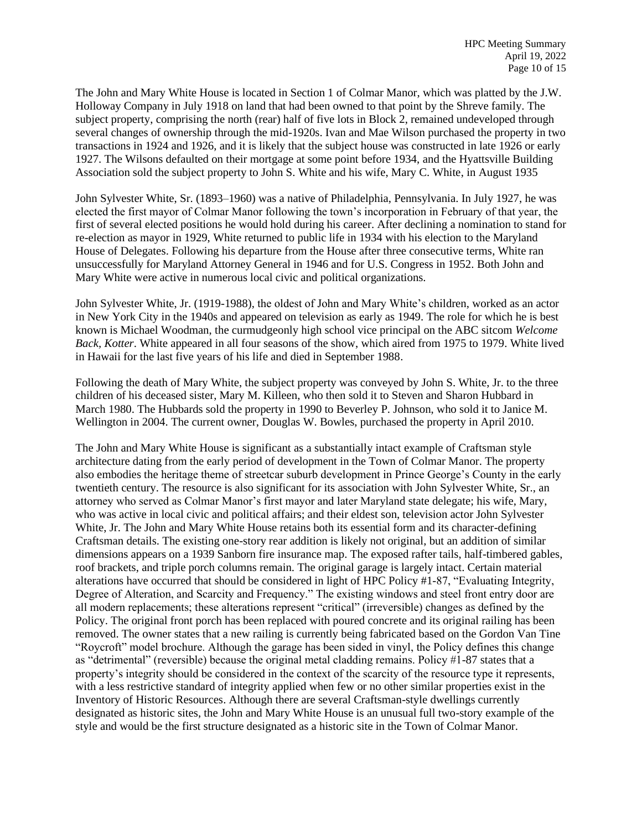The John and Mary White House is located in Section 1 of Colmar Manor, which was platted by the J.W. Holloway Company in July 1918 on land that had been owned to that point by the Shreve family. The subject property, comprising the north (rear) half of five lots in Block 2, remained undeveloped through several changes of ownership through the mid-1920s. Ivan and Mae Wilson purchased the property in two transactions in 1924 and 1926, and it is likely that the subject house was constructed in late 1926 or early 1927. The Wilsons defaulted on their mortgage at some point before 1934, and the Hyattsville Building Association sold the subject property to John S. White and his wife, Mary C. White, in August 1935

John Sylvester White, Sr. (1893–1960) was a native of Philadelphia, Pennsylvania. In July 1927, he was elected the first mayor of Colmar Manor following the town's incorporation in February of that year, the first of several elected positions he would hold during his career. After declining a nomination to stand for re-election as mayor in 1929, White returned to public life in 1934 with his election to the Maryland House of Delegates. Following his departure from the House after three consecutive terms, White ran unsuccessfully for Maryland Attorney General in 1946 and for U.S. Congress in 1952. Both John and Mary White were active in numerous local civic and political organizations.

John Sylvester White, Jr. (1919-1988), the oldest of John and Mary White's children, worked as an actor in New York City in the 1940s and appeared on television as early as 1949. The role for which he is best known is Michael Woodman, the curmudgeonly high school vice principal on the ABC sitcom *Welcome Back, Kotter*. White appeared in all four seasons of the show, which aired from 1975 to 1979. White lived in Hawaii for the last five years of his life and died in September 1988.

Following the death of Mary White, the subject property was conveyed by John S. White, Jr. to the three children of his deceased sister, Mary M. Killeen, who then sold it to Steven and Sharon Hubbard in March 1980. The Hubbards sold the property in 1990 to Beverley P. Johnson, who sold it to Janice M. Wellington in 2004. The current owner, Douglas W. Bowles, purchased the property in April 2010.

The John and Mary White House is significant as a substantially intact example of Craftsman style architecture dating from the early period of development in the Town of Colmar Manor. The property also embodies the heritage theme of streetcar suburb development in Prince George's County in the early twentieth century. The resource is also significant for its association with John Sylvester White, Sr., an attorney who served as Colmar Manor's first mayor and later Maryland state delegate; his wife, Mary, who was active in local civic and political affairs; and their eldest son, television actor John Sylvester White, Jr. The John and Mary White House retains both its essential form and its character-defining Craftsman details. The existing one-story rear addition is likely not original, but an addition of similar dimensions appears on a 1939 Sanborn fire insurance map. The exposed rafter tails, half-timbered gables, roof brackets, and triple porch columns remain. The original garage is largely intact. Certain material alterations have occurred that should be considered in light of HPC Policy #1-87, "Evaluating Integrity, Degree of Alteration, and Scarcity and Frequency." The existing windows and steel front entry door are all modern replacements; these alterations represent "critical" (irreversible) changes as defined by the Policy. The original front porch has been replaced with poured concrete and its original railing has been removed. The owner states that a new railing is currently being fabricated based on the Gordon Van Tine "Roycroft" model brochure. Although the garage has been sided in vinyl, the Policy defines this change as "detrimental" (reversible) because the original metal cladding remains. Policy #1-87 states that a property's integrity should be considered in the context of the scarcity of the resource type it represents, with a less restrictive standard of integrity applied when few or no other similar properties exist in the Inventory of Historic Resources. Although there are several Craftsman-style dwellings currently designated as historic sites, the John and Mary White House is an unusual full two-story example of the style and would be the first structure designated as a historic site in the Town of Colmar Manor.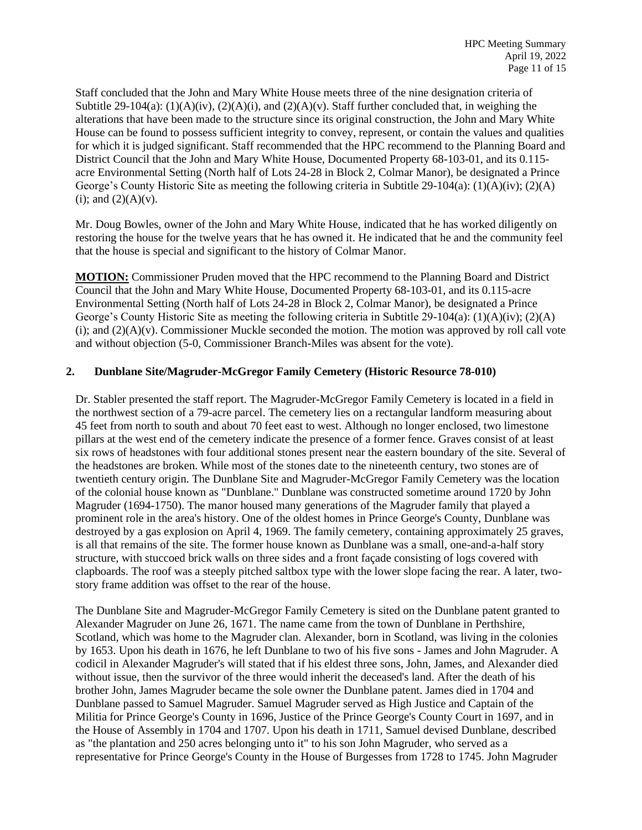Staff concluded that the John and Mary White House meets three of the nine designation criteria of Subtitle 29-104(a):  $(1)(A)(iv)$ ,  $(2)(A)(i)$ , and  $(2)(A)(v)$ . Staff further concluded that, in weighing the alterations that have been made to the structure since its original construction, the John and Mary White House can be found to possess sufficient integrity to convey, represent, or contain the values and qualities for which it is judged significant. Staff recommended that the HPC recommend to the Planning Board and District Council that the John and Mary White House, Documented Property 68-103-01, and its 0.115 acre Environmental Setting (North half of Lots 24-28 in Block 2, Colmar Manor), be designated a Prince George's County Historic Site as meeting the following criteria in Subtitle 29-104(a):  $(1)(A)(iv)$ ;  $(2)(A)$  $(i)$ ; and  $(2)(A)(v)$ .

Mr. Doug Bowles, owner of the John and Mary White House, indicated that he has worked diligently on restoring the house for the twelve years that he has owned it. He indicated that he and the community feel that the house is special and significant to the history of Colmar Manor.

**MOTION:** Commissioner Pruden moved that the HPC recommend to the Planning Board and District Council that the John and Mary White House, Documented Property 68-103-01, and its 0.115-acre Environmental Setting (North half of Lots 24-28 in Block 2, Colmar Manor), be designated a Prince George's County Historic Site as meeting the following criteria in Subtitle 29-104(a): (1)(A)(iv); (2)(A) (i); and  $(2)(A)(v)$ . Commissioner Muckle seconded the motion. The motion was approved by roll call vote and without objection (5-0, Commissioner Branch-Miles was absent for the vote).

# **2. Dunblane Site/Magruder-McGregor Family Cemetery (Historic Resource 78-010)**

Dr. Stabler presented the staff report. The Magruder-McGregor Family Cemetery is located in a field in the northwest section of a 79-acre parcel. The cemetery lies on a rectangular landform measuring about 45 feet from north to south and about 70 feet east to west. Although no longer enclosed, two limestone pillars at the west end of the cemetery indicate the presence of a former fence. Graves consist of at least six rows of headstones with four additional stones present near the eastern boundary of the site. Several of the headstones are broken. While most of the stones date to the nineteenth century, two stones are of twentieth century origin. The Dunblane Site and Magruder-McGregor Family Cemetery was the location of the colonial house known as "Dunblane." Dunblane was constructed sometime around 1720 by John Magruder (1694-1750). The manor housed many generations of the Magruder family that played a prominent role in the area's history. One of the oldest homes in Prince George's County, Dunblane was destroyed by a gas explosion on April 4, 1969. The family cemetery, containing approximately 25 graves, is all that remains of the site. The former house known as Dunblane was a small, one-and-a-half story structure, with stuccoed brick walls on three sides and a front façade consisting of logs covered with clapboards. The roof was a steeply pitched saltbox type with the lower slope facing the rear. A later, twostory frame addition was offset to the rear of the house.

The Dunblane Site and Magruder-McGregor Family Cemetery is sited on the Dunblane patent granted to Alexander Magruder on June 26, 1671. The name came from the town of Dunblane in Perthshire, Scotland, which was home to the Magruder clan. Alexander, born in Scotland, was living in the colonies by 1653. Upon his death in 1676, he left Dunblane to two of his five sons - James and John Magruder. A codicil in Alexander Magruder's will stated that if his eldest three sons, John, James, and Alexander died without issue, then the survivor of the three would inherit the deceased's land. After the death of his brother John, James Magruder became the sole owner the Dunblane patent. James died in 1704 and Dunblane passed to Samuel Magruder. Samuel Magruder served as High Justice and Captain of the Militia for Prince George's County in 1696, Justice of the Prince George's County Court in 1697, and in the House of Assembly in 1704 and 1707. Upon his death in 1711, Samuel devised Dunblane, described as "the plantation and 250 acres belonging unto it" to his son John Magruder, who served as a representative for Prince George's County in the House of Burgesses from 1728 to 1745. John Magruder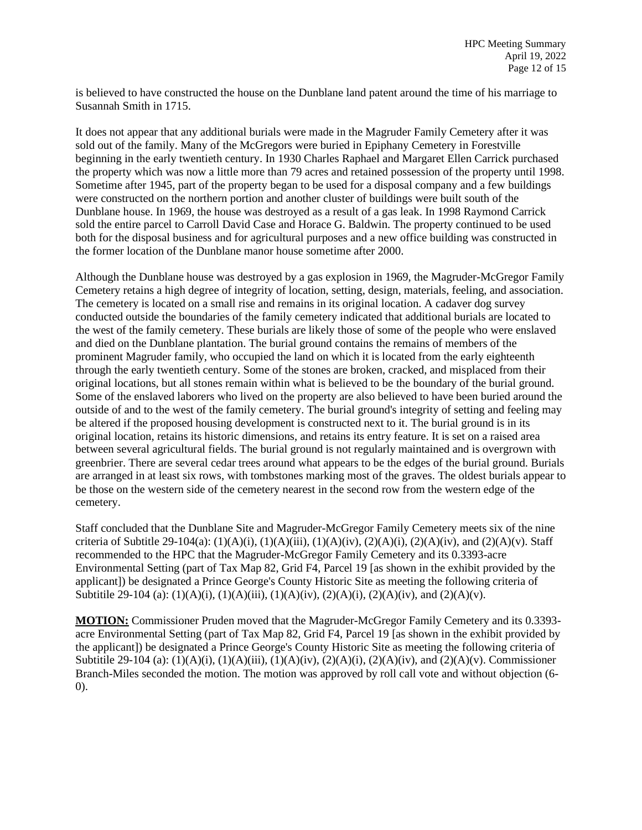is believed to have constructed the house on the Dunblane land patent around the time of his marriage to Susannah Smith in 1715.

It does not appear that any additional burials were made in the Magruder Family Cemetery after it was sold out of the family. Many of the McGregors were buried in Epiphany Cemetery in Forestville beginning in the early twentieth century. In 1930 Charles Raphael and Margaret Ellen Carrick purchased the property which was now a little more than 79 acres and retained possession of the property until 1998. Sometime after 1945, part of the property began to be used for a disposal company and a few buildings were constructed on the northern portion and another cluster of buildings were built south of the Dunblane house. In 1969, the house was destroyed as a result of a gas leak. In 1998 Raymond Carrick sold the entire parcel to Carroll David Case and Horace G. Baldwin. The property continued to be used both for the disposal business and for agricultural purposes and a new office building was constructed in the former location of the Dunblane manor house sometime after 2000.

Although the Dunblane house was destroyed by a gas explosion in 1969, the Magruder-McGregor Family Cemetery retains a high degree of integrity of location, setting, design, materials, feeling, and association. The cemetery is located on a small rise and remains in its original location. A cadaver dog survey conducted outside the boundaries of the family cemetery indicated that additional burials are located to the west of the family cemetery. These burials are likely those of some of the people who were enslaved and died on the Dunblane plantation. The burial ground contains the remains of members of the prominent Magruder family, who occupied the land on which it is located from the early eighteenth through the early twentieth century. Some of the stones are broken, cracked, and misplaced from their original locations, but all stones remain within what is believed to be the boundary of the burial ground. Some of the enslaved laborers who lived on the property are also believed to have been buried around the outside of and to the west of the family cemetery. The burial ground's integrity of setting and feeling may be altered if the proposed housing development is constructed next to it. The burial ground is in its original location, retains its historic dimensions, and retains its entry feature. It is set on a raised area between several agricultural fields. The burial ground is not regularly maintained and is overgrown with greenbrier. There are several cedar trees around what appears to be the edges of the burial ground. Burials are arranged in at least six rows, with tombstones marking most of the graves. The oldest burials appear to be those on the western side of the cemetery nearest in the second row from the western edge of the cemetery.

Staff concluded that the Dunblane Site and Magruder-McGregor Family Cemetery meets six of the nine criteria of Subtitle 29-104(a): (1)(A)(i), (1)(A)(iii), (1)(A)(iv), (2)(A)(i), (2)(A)(iv), and (2)(A)(v). Staff recommended to the HPC that the Magruder-McGregor Family Cemetery and its 0.3393-acre Environmental Setting (part of Tax Map 82, Grid F4, Parcel 19 [as shown in the exhibit provided by the applicant]) be designated a Prince George's County Historic Site as meeting the following criteria of Subtitile 29-104 (a): (1)(A)(i), (1)(A)(iii), (1)(A)(iv), (2)(A)(i), (2)(A)(iv), and (2)(A)(v).

**MOTION:** Commissioner Pruden moved that the Magruder-McGregor Family Cemetery and its 0.3393 acre Environmental Setting (part of Tax Map 82, Grid F4, Parcel 19 [as shown in the exhibit provided by the applicant]) be designated a Prince George's County Historic Site as meeting the following criteria of Subtitile 29-104 (a): (1)(A)(i), (1)(A)(iii), (1)(A)(iv), (2)(A)(i), (2)(A)(iv), and (2)(A)(v). Commissioner Branch-Miles seconded the motion. The motion was approved by roll call vote and without objection (6- 0).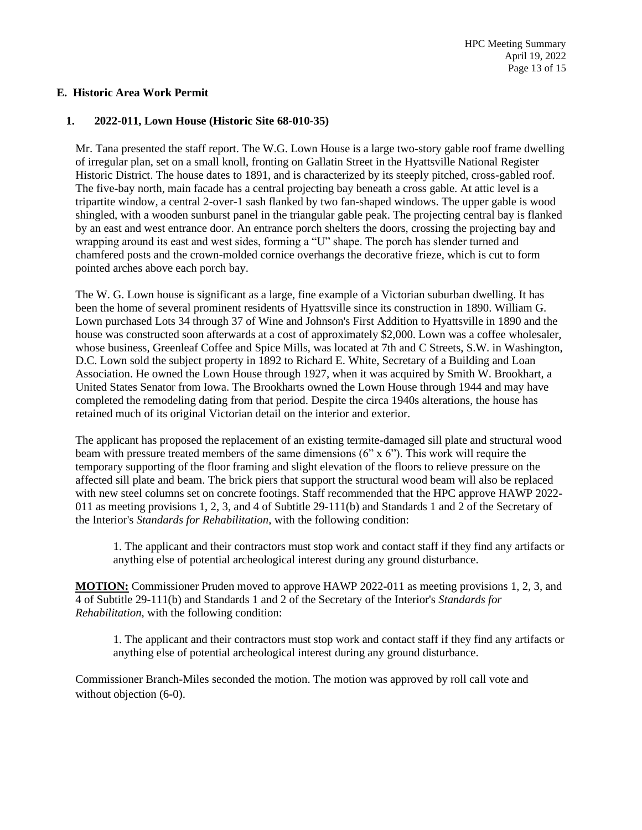# **E. Historic Area Work Permit**

#### **1. 2022-011, Lown House (Historic Site 68-010-35)**

Mr. Tana presented the staff report. The W.G. Lown House is a large two-story gable roof frame dwelling of irregular plan, set on a small knoll, fronting on Gallatin Street in the Hyattsville National Register Historic District. The house dates to 1891, and is characterized by its steeply pitched, cross-gabled roof. The five-bay north, main facade has a central projecting bay beneath a cross gable. At attic level is a tripartite window, a central 2-over-1 sash flanked by two fan-shaped windows. The upper gable is wood shingled, with a wooden sunburst panel in the triangular gable peak. The projecting central bay is flanked by an east and west entrance door. An entrance porch shelters the doors, crossing the projecting bay and wrapping around its east and west sides, forming a "U" shape. The porch has slender turned and chamfered posts and the crown-molded cornice overhangs the decorative frieze, which is cut to form pointed arches above each porch bay.

The W. G. Lown house is significant as a large, fine example of a Victorian suburban dwelling. It has been the home of several prominent residents of Hyattsville since its construction in 1890. William G. Lown purchased Lots 34 through 37 of Wine and Johnson's First Addition to Hyattsville in 1890 and the house was constructed soon afterwards at a cost of approximately \$2,000. Lown was a coffee wholesaler, whose business, Greenleaf Coffee and Spice Mills, was located at 7th and C Streets, S.W. in Washington, D.C. Lown sold the subject property in 1892 to Richard E. White, Secretary of a Building and Loan Association. He owned the Lown House through 1927, when it was acquired by Smith W. Brookhart, a United States Senator from Iowa. The Brookharts owned the Lown House through 1944 and may have completed the remodeling dating from that period. Despite the circa 1940s alterations, the house has retained much of its original Victorian detail on the interior and exterior.

The applicant has proposed the replacement of an existing termite-damaged sill plate and structural wood beam with pressure treated members of the same dimensions (6" x 6"). This work will require the temporary supporting of the floor framing and slight elevation of the floors to relieve pressure on the affected sill plate and beam. The brick piers that support the structural wood beam will also be replaced with new steel columns set on concrete footings. Staff recommended that the HPC approve HAWP 2022- 011 as meeting provisions 1, 2, 3, and 4 of Subtitle 29-111(b) and Standards 1 and 2 of the Secretary of the Interior's *Standards for Rehabilitation*, with the following condition:

1. The applicant and their contractors must stop work and contact staff if they find any artifacts or anything else of potential archeological interest during any ground disturbance.

**MOTION:** Commissioner Pruden moved to approve HAWP 2022-011 as meeting provisions 1, 2, 3, and 4 of Subtitle 29-111(b) and Standards 1 and 2 of the Secretary of the Interior's *Standards for Rehabilitation*, with the following condition:

1. The applicant and their contractors must stop work and contact staff if they find any artifacts or anything else of potential archeological interest during any ground disturbance.

Commissioner Branch-Miles seconded the motion. The motion was approved by roll call vote and without objection  $(6-0)$ .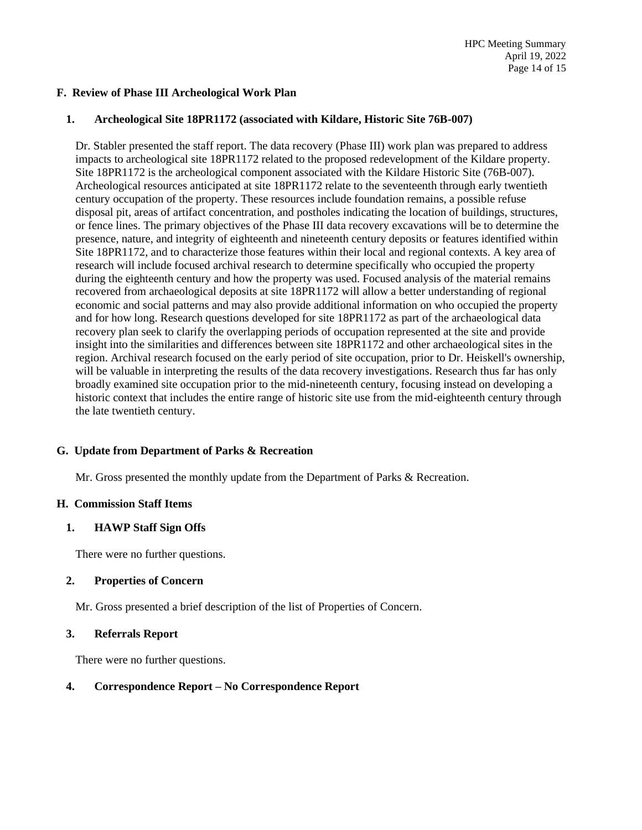# **F. Review of Phase III Archeological Work Plan**

# **1. Archeological Site 18PR1172 (associated with Kildare, Historic Site 76B-007)**

Dr. Stabler presented the staff report. The data recovery (Phase III) work plan was prepared to address impacts to archeological site 18PR1172 related to the proposed redevelopment of the Kildare property. Site 18PR1172 is the archeological component associated with the Kildare Historic Site (76B-007). Archeological resources anticipated at site 18PR1172 relate to the seventeenth through early twentieth century occupation of the property. These resources include foundation remains, a possible refuse disposal pit, areas of artifact concentration, and postholes indicating the location of buildings, structures, or fence lines. The primary objectives of the Phase III data recovery excavations will be to determine the presence, nature, and integrity of eighteenth and nineteenth century deposits or features identified within Site 18PR1172, and to characterize those features within their local and regional contexts. A key area of research will include focused archival research to determine specifically who occupied the property during the eighteenth century and how the property was used. Focused analysis of the material remains recovered from archaeological deposits at site 18PR1172 will allow a better understanding of regional economic and social patterns and may also provide additional information on who occupied the property and for how long. Research questions developed for site 18PR1172 as part of the archaeological data recovery plan seek to clarify the overlapping periods of occupation represented at the site and provide insight into the similarities and differences between site 18PR1172 and other archaeological sites in the region. Archival research focused on the early period of site occupation, prior to Dr. Heiskell's ownership, will be valuable in interpreting the results of the data recovery investigations. Research thus far has only broadly examined site occupation prior to the mid-nineteenth century, focusing instead on developing a historic context that includes the entire range of historic site use from the mid-eighteenth century through the late twentieth century.

# **G. Update from Department of Parks & Recreation**

Mr. Gross presented the monthly update from the Department of Parks & Recreation.

# **H. Commission Staff Items**

# **1. HAWP Staff Sign Offs**

There were no further questions.

# **2. Properties of Concern**

Mr. Gross presented a brief description of the list of Properties of Concern.

# **3. Referrals Report**

There were no further questions.

# **4. Correspondence Report – No Correspondence Report**